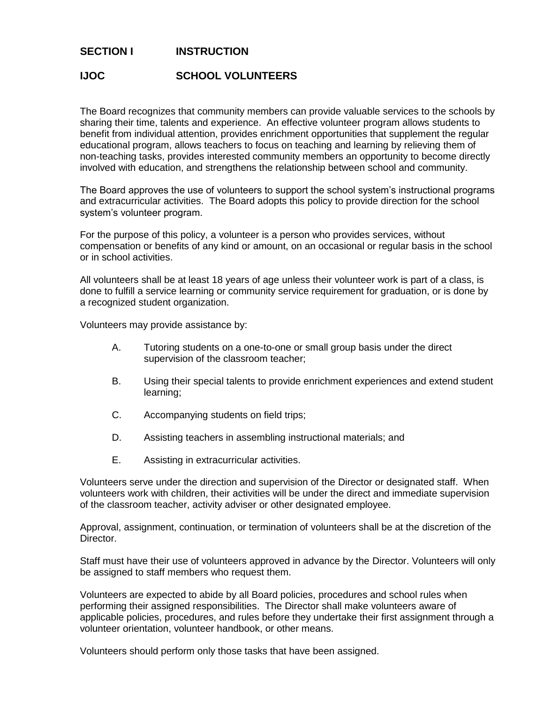## **SECTION I INSTRUCTION**

## **IJOC SCHOOL VOLUNTEERS**

The Board recognizes that community members can provide valuable services to the schools by sharing their time, talents and experience. An effective volunteer program allows students to benefit from individual attention, provides enrichment opportunities that supplement the regular educational program, allows teachers to focus on teaching and learning by relieving them of non-teaching tasks, provides interested community members an opportunity to become directly involved with education, and strengthens the relationship between school and community.

The Board approves the use of volunteers to support the school system's instructional programs and extracurricular activities. The Board adopts this policy to provide direction for the school system's volunteer program.

For the purpose of this policy, a volunteer is a person who provides services, without compensation or benefits of any kind or amount, on an occasional or regular basis in the school or in school activities.

All volunteers shall be at least 18 years of age unless their volunteer work is part of a class, is done to fulfill a service learning or community service requirement for graduation, or is done by a recognized student organization.

Volunteers may provide assistance by:

- A. Tutoring students on a one-to-one or small group basis under the direct supervision of the classroom teacher;
- B. Using their special talents to provide enrichment experiences and extend student learning;
- C. Accompanying students on field trips;
- D. Assisting teachers in assembling instructional materials; and
- E. Assisting in extracurricular activities.

Volunteers serve under the direction and supervision of the Director or designated staff. When volunteers work with children, their activities will be under the direct and immediate supervision of the classroom teacher, activity adviser or other designated employee.

Approval, assignment, continuation, or termination of volunteers shall be at the discretion of the Director.

Staff must have their use of volunteers approved in advance by the Director. Volunteers will only be assigned to staff members who request them.

Volunteers are expected to abide by all Board policies, procedures and school rules when performing their assigned responsibilities. The Director shall make volunteers aware of applicable policies, procedures, and rules before they undertake their first assignment through a volunteer orientation, volunteer handbook, or other means.

Volunteers should perform only those tasks that have been assigned.